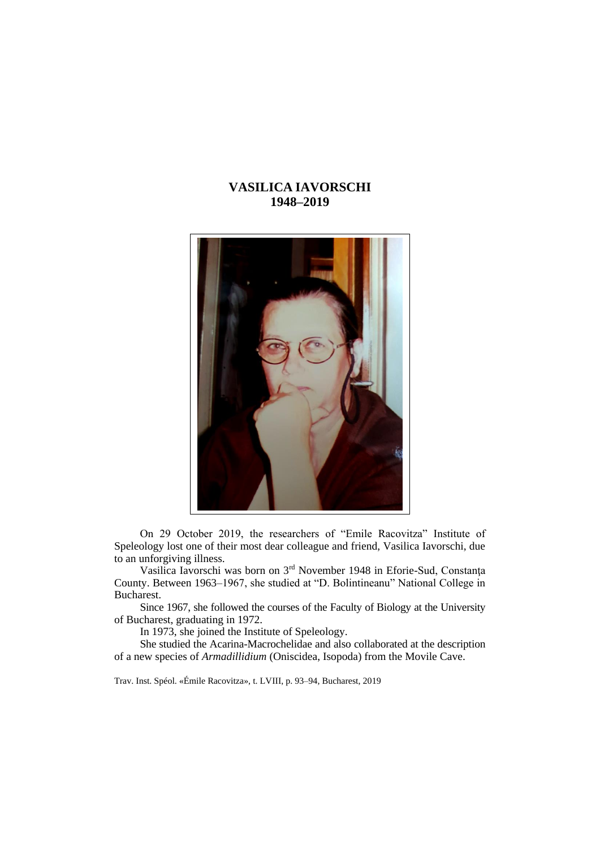## **VASILICA IAVORSCHI 1948–2019**



On 29 October 2019, the researchers of "Emile Racovitza" Institute of Speleology lost one of their most dear colleague and friend, Vasilica Iavorschi, due to an unforgiving illness.

Vasilica Iavorschi was born on 3rd November 1948 in Eforie-Sud, Constanţa County. Between 1963–1967, she studied at "D. Bolintineanu" National College in Bucharest.

Since 1967, she followed the courses of the Faculty of Biology at the University of Bucharest, graduating in 1972.

In 1973, she joined the Institute of Speleology.

She studied the Acarina-Macrochelidae and also collaborated at the description of a new species of *Armadillidium* (Oniscidea, Isopoda) from the Movile Cave.

Trav. Inst. Spéol. «Émile Racovitza», t. LVIII, p. 93–94, Bucharest, 2019